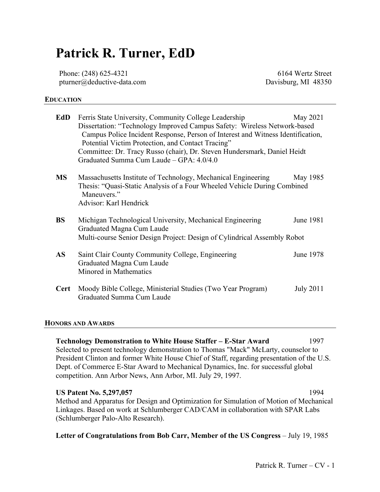# **Patrick R. Turner, EdD**

Phone: (248) 625-4321 pturner@deductive-data.com

6164 Wertz Street Davisburg, MI 48350

## **EDUCATION**

| EdD       | Ferris State University, Community College Leadership<br>Dissertation: "Technology Improved Campus Safety: Wireless Network-based                                                  | May 2021         |  |
|-----------|------------------------------------------------------------------------------------------------------------------------------------------------------------------------------------|------------------|--|
|           | Campus Police Incident Response, Person of Interest and Witness Identification,<br>Potential Victim Protection, and Contact Tracing"                                               |                  |  |
|           | Committee: Dr. Tracy Russo (chair), Dr. Steven Hundersmark, Daniel Heidt                                                                                                           |                  |  |
|           | Graduated Summa Cum Laude - GPA: 4.0/4.0                                                                                                                                           |                  |  |
| <b>MS</b> | Massachusetts Institute of Technology, Mechanical Engineering<br>Thesis: "Quasi-Static Analysis of a Four Wheeled Vehicle During Combined<br>Maneuvers."<br>Advisor: Karl Hendrick | May 1985         |  |
| <b>BS</b> | Michigan Technological University, Mechanical Engineering<br>Graduated Magna Cum Laude<br>Multi-course Senior Design Project: Design of Cylindrical Assembly Robot                 | June 1981        |  |
| <b>AS</b> | Saint Clair County Community College, Engineering<br>Graduated Magna Cum Laude<br>Minored in Mathematics                                                                           | June 1978        |  |
| Cert      | Moody Bible College, Ministerial Studies (Two Year Program)<br>Graduated Summa Cum Laude                                                                                           | <b>July 2011</b> |  |

#### **HONORS AND AWARDS**

**Technology Demonstration to White House Staffer – E-Star Award** 1997 Selected to present technology demonstration to Thomas "Mack" McLarty, counselor to President Clinton and former White House Chief of Staff, regarding presentation of the U.S. Dept. of Commerce E-Star Award to Mechanical Dynamics, Inc. for successful global competition. Ann Arbor News, Ann Arbor, MI. July 29, 1997.

## **US Patent No. 5,297,057** 1994

Method and Apparatus for Design and Optimization for Simulation of Motion of Mechanical Linkages. Based on work at Schlumberger CAD/CAM in collaboration with SPAR Labs (Schlumberger Palo-Alto Research).

# **Letter of Congratulations from Bob Carr, Member of the US Congress** – July 19, 1985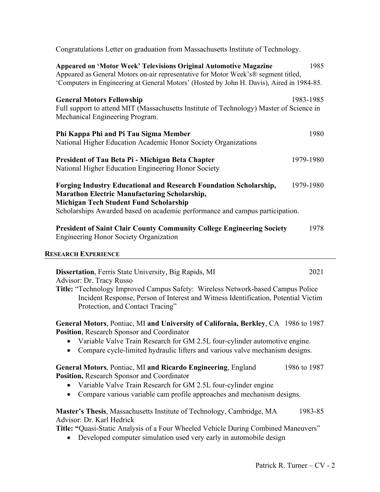| Congratulations Letter on graduation from Massachusetts Institute of Technology.                                                                                                                                                                                                               |  |
|------------------------------------------------------------------------------------------------------------------------------------------------------------------------------------------------------------------------------------------------------------------------------------------------|--|
| <b>Appeared on 'Motor Week' Televisions Original Automotive Magazine</b><br>1985<br>Appeared as General Motors on-air representative for Motor Week's® segment titled,<br>'Computers in Engineering at General Motors' (Hosted by John H. Davis), Aired in 1984-85.                            |  |
| 1983-1985<br><b>General Motors Fellowship</b><br>Full support to attend MIT (Massachusetts Institute of Technology) Master of Science in<br>Mechanical Engineering Program.                                                                                                                    |  |
| Phi Kappa Phi and Pi Tau Sigma Member<br>1980<br>National Higher Education Academic Honor Society Organizations                                                                                                                                                                                |  |
| President of Tau Beta Pi - Michigan Beta Chapter<br>1979-1980<br>National Higher Education Engineering Honor Society                                                                                                                                                                           |  |
| <b>Forging Industry Educational and Research Foundation Scholarship,</b><br>1979-1980<br><b>Marathon Electric Manufacturing Scholarship,</b><br>Michigan Tech Student Fund Scholarship<br>Scholarships Awarded based on academic performance and campus participation.                         |  |
| <b>President of Saint Clair County Community College Engineering Society</b><br>1978<br><b>Engineering Honor Society Organization</b>                                                                                                                                                          |  |
| <b>RESEARCH EXPERIENCE</b>                                                                                                                                                                                                                                                                     |  |
| 2021<br>Dissertation, Ferris State University, Big Rapids, MI<br>Advisor: Dr. Tracy Russo                                                                                                                                                                                                      |  |
| Title: "Technology Improved Campus Safety: Wireless Network-based Campus Police<br>Incident Response, Person of Interest and Witness Identification, Potential Victim<br>Protection, and Contact Tracing"                                                                                      |  |
| General Motors, Pontiac, MI and University of California, Berkley, CA 1986 to 1987<br>Position, Research Sponsor and Coordinator<br>Variable Valve Train Research for GM 2.5L four-cylinder automotive engine.<br>Compare cycle-limited hydraulic lifters and various valve mechanism designs. |  |
| General Motors, Pontiac, MI and Ricardo Engineering, England<br>1986 to 1987<br>Position, Research Sponsor and Coordinator<br>Variable Valve Train Research for GM 2.5L four-cylinder engine<br>Compare various variable cam profile approaches and mechanism designs.                         |  |

**Master's Thesis**, Massachusetts Institute of Technology, Cambridge, MA 1983-85 Advisor: Dr. Karl Hedrick

**Title: "**Quasi-Static Analysis of a Four Wheeled Vehicle During Combined Maneuvers"

Developed computer simulation used very early in automobile design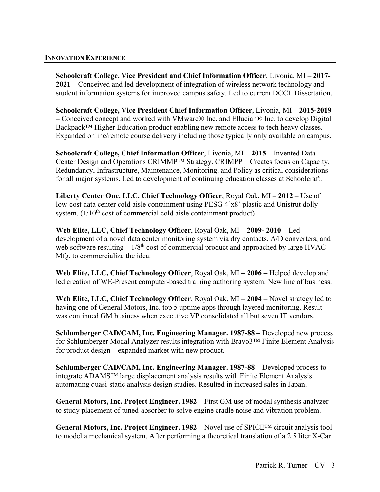## **INNOVATION EXPERIENCE**

**Schoolcraft College, Vice President and Chief Information Officer**, Livonia, MI **– 2017- 2021 –** Conceived and led development of integration of wireless network technology and student information systems for improved campus safety. Led to current DCCL Dissertation.

**Schoolcraft College, Vice President Chief Information Officer**, Livonia, MI **– 2015-2019 –** Conceived concept and worked with VMware® Inc. and Ellucian® Inc. to develop Digital Backpack™ Higher Education product enabling new remote access to tech heavy classes. Expanded online/remote course delivery including those typically only available on campus.

**Schoolcraft College, Chief Information Officer**, Livonia, MI **– 2015** – Invented Data Center Design and Operations CRIMMP™ Strategy. CRIMPP – Creates focus on Capacity, Redundancy, Infrastructure, Maintenance, Monitoring, and Policy as critical considerations for all major systems. Led to development of continuing education classes at Schoolcraft.

**Liberty Center One, LLC, Chief Technology Officer**, Royal Oak, MI **– 2012 –** Use of low-cost data center cold aisle containment using PESG 4'x8' plastic and Unistrut dolly system.  $(1/10<sup>th</sup> cost of commercial cold aside containment product)$ 

**Web Elite, LLC, Chief Technology Officer**, Royal Oak, MI **– 2009- 2010 –** Led development of a novel data center monitoring system via dry contacts, A/D converters, and web software resulting  $-1/8$ <sup>th</sup> cost of commercial product and approached by large HVAC Mfg. to commercialize the idea.

**Web Elite, LLC, Chief Technology Officer**, Royal Oak, MI **– 2006 –** Helped develop and led creation of WE-Present computer-based training authoring system. New line of business.

**Web Elite, LLC, Chief Technology Officer**, Royal Oak, MI **– 2004 –** Novel strategy led to having one of General Motors, Inc. top 5 uptime apps through layered monitoring. Result was continued GM business when executive VP consolidated all but seven IT vendors.

**Schlumberger CAD/CAM, Inc. Engineering Manager. 1987-88 –** Developed new process for Schlumberger Modal Analyzer results integration with Bravo3™ Finite Element Analysis for product design – expanded market with new product.

**Schlumberger CAD/CAM, Inc. Engineering Manager. 1987-88 –** Developed process to integrate ADAMS™ large displacement analysis results with Finite Element Analysis automating quasi-static analysis design studies. Resulted in increased sales in Japan.

**General Motors, Inc. Project Engineer. 1982 –** First GM use of modal synthesis analyzer to study placement of tuned-absorber to solve engine cradle noise and vibration problem.

**General Motors, Inc. Project Engineer. 1982 –** Novel use of SPICE™ circuit analysis tool to model a mechanical system. After performing a theoretical translation of a 2.5 liter X-Car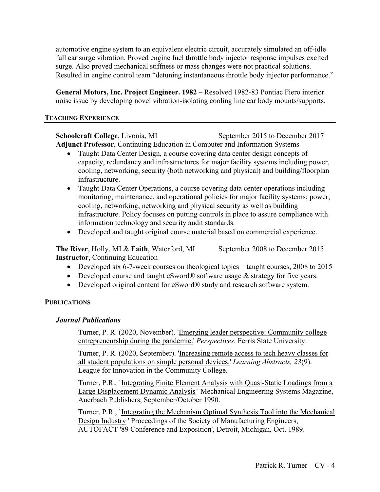automotive engine system to an equivalent electric circuit, accurately simulated an off-idle full car surge vibration. Proved engine fuel throttle body injector response impulses excited surge. Also proved mechanical stiffness or mass changes were not practical solutions. Resulted in engine control team "detuning instantaneous throttle body injector performance."

**General Motors, Inc. Project Engineer. 1982 –** Resolved 1982-83 Pontiac Fiero interior noise issue by developing novel vibration-isolating cooling line car body mounts/supports.

## **TEACHING EXPERIENCE**

**Schoolcraft College**, Livonia, MI September 2015 to December 2017 **Adjunct Professor**, Continuing Education in Computer and Information Systems

- Taught Data Center Design, a course covering data center design concepts of capacity, redundancy and infrastructures for major facility systems including power, cooling, networking, security (both networking and physical) and building/floorplan infrastructure.
- Taught Data Center Operations, a course covering data center operations including monitoring, maintenance, and operational policies for major facility systems; power, cooling, networking, networking and physical security as well as building infrastructure. Policy focuses on putting controls in place to assure compliance with information technology and security audit standards.
- Developed and taught original course material based on commercial experience.

**The River**, Holly, MI & Faith, Waterford, MI September 2008 to December 2015 **Instructor**, Continuing Education

- Developed six 6-7-week courses on theological topics taught courses, 2008 to 2015
- Developed course and taught eSword® software usage & strategy for five years.
- Developed original content for eSword® study and research software system.

## **PUBLICATIONS**

## *Journal Publications*

Turner, P. R. (2020, November). 'Emerging leader perspective: Community college entrepreneurship during the pandemic.' *Perspectives*. Ferris State University.

Turner, P. R. (2020, September). 'Increasing remote access to tech heavy classes for all student populations on simple personal devices.' *Learning Abstracts, 23*(9). League for Innovation in the Community College.

Turner, P.R., `Integrating Finite Element Analysis with Quasi-Static Loadings from a Large Displacement Dynamic Analysis ' Mechanical Engineering Systems Magazine, Auerbach Publishers, September/October 1990.

Turner, P.R., `Integrating the Mechanism Optimal Synthesis Tool into the Mechanical Design Industry ' Proceedings of the Society of Manufacturing Engineers, AUTOFACT '89 Conference and Exposition', Detroit, Michigan, Oct. 1989.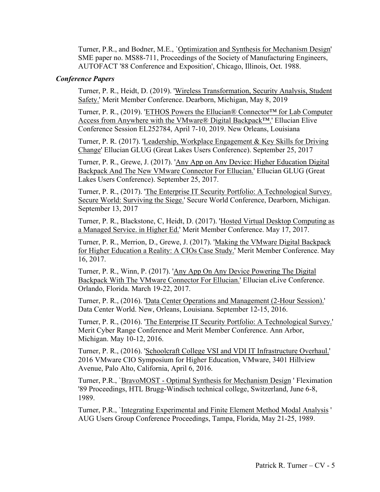Turner, P.R., and Bodner, M.E., `Optimization and Synthesis for Mechanism Design' SME paper no. MS88-711, Proceedings of the Society of Manufacturing Engineers, AUTOFACT '88 Conference and Exposition', Chicago, Illinois, Oct. 1988.

## *Conference Papers*

Turner, P. R., Heidt, D. (2019). 'Wireless Transformation, Security Analysis, Student Safety.' Merit Member Conference. Dearborn, Michigan, May 8, 2019

Turner, P. R., (2019). 'ETHOS Powers the Ellucian® Connector™ for Lab Computer Access from Anywhere with the VMware® Digital Backpack™.' Ellucian Elive Conference Session EL252784, April 7-10, 2019. New Orleans, Louisiana

Turner, P. R. (2017). 'Leadership, Workplace Engagement & Key Skills for Driving Change' Ellucian GLUG (Great Lakes Users Conference). September 25, 2017

Turner, P. R., Grewe, J. (2017). 'Any App on Any Device: Higher Education Digital Backpack And The New VMware Connector For Ellucian.' Ellucian GLUG (Great Lakes Users Conference). September 25, 2017.

Turner, P. R., (2017). 'The Enterprise IT Security Portfolio: A Technological Survey. Secure World: Surviving the Siege.' Secure World Conference, Dearborn, Michigan. September 13, 2017

Turner, P. R., Blackstone, C, Heidt, D. (2017). 'Hosted Virtual Desktop Computing as a Managed Service. in Higher Ed.' Merit Member Conference. May 17, 2017.

Turner, P. R., Merrion, D., Grewe, J. (2017). 'Making the VMware Digital Backpack for Higher Education a Reality: A CIOs Case Study.' Merit Member Conference. May 16, 2017.

Turner, P. R., Winn, P. (2017). 'Any App On Any Device Powering The Digital Backpack With The VMware Connector For Ellucian.' Ellucian eLive Conference. Orlando, Florida. March 19-22, 2017.

Turner, P. R., (2016). 'Data Center Operations and Management (2-Hour Session).' Data Center World. New, Orleans, Louisiana. September 12-15, 2016.

Turner, P. R., (2016). 'The Enterprise IT Security Portfolio: A Technological Survey.' Merit Cyber Range Conference and Merit Member Conference. Ann Arbor, Michigan. May 10-12, 2016.

Turner, P. R., (2016). 'Schoolcraft College VSI and VDI IT Infrastructure Overhaul.' 2016 VMware CIO Symposium for Higher Education, VMware, 3401 Hillview Avenue, Palo Alto, California, April 6, 2016.

Turner, P.R., <u>`BravoMOST - Optimal Synthesis for Mechanism Design</u> ' Fleximation '89 Proceedings, HTL Brugg-Windisch technical college, Switzerland, June 6-8, 1989.

Turner, P.R., `Integrating Experimental and Finite Element Method Modal Analysis ' AUG Users Group Conference Proceedings, Tampa, Florida, May 21-25, 1989.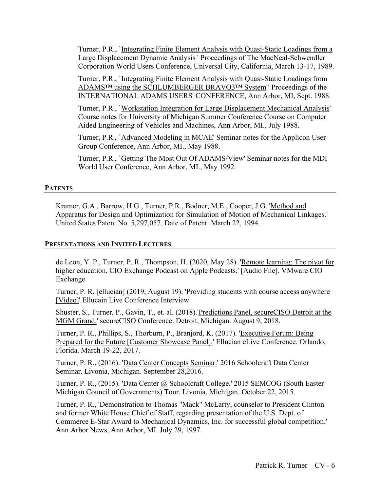Turner, P.R., `Integrating Finite Element Analysis with Quasi-Static Loadings from a Large Displacement Dynamic Analysis ' Proceedings of The MacNeal-Schwendler Corporation World Users Conference, Universal City, California, March 13-17, 1989.

Turner, P.R., `Integrating Finite Element Analysis with Quasi-Static Loadings from ADAMS™ using the SCHLUMBERGER BRAVO3™ System ' Proceedings of the INTERNATIONAL ADAMS USERS' CONFERENCE, Ann Arbor, MI, Sept. 1988.

Turner, P.R., `Workstation Integration for Large Displacement Mechanical Analysis' Course notes for University of Michigan Summer Conference Course on Computer Aided Engineering of Vehicles and Machines, Ann Arbor, MI., July 1988.

Turner, P.R., `Advanced Modeling in MCAE' Seminar notes for the Applicon User Group Conference, Ann Arbor, MI., May 1988.

Turner, P.R., `Getting The Most Out Of ADAMS/View' Seminar notes for the MDI World User Conference, Ann Arbor, MI., May 1992.

#### **PATENTS**

Kramer, G.A., Barrow, H.G., Turner, P.R., Bodner, M.E., Cooper, J.G. 'Method and Apparatus for Design and Optimization for Simulation of Motion of Mechanical Linkages.' United States Patent No. 5,297,057. Date of Patent: March 22, 1994.

#### **PRESENTATIONS AND INVITED LECTURES**

de Leon, Y. P., Turner, P. R., Thompson, H. (2020, May 28). 'Remote learning: The pivot for higher education. CIO Exchange Podcast on Apple Podcasts.' [Audio File]. VMware CIO Exchange

Turner, P. R. [ellucian] (2019, August 19). 'Providing students with course access anywhere [Video]' Ellucain Live Conference Interview

Shuster, S., Turner, P., Gavin, T., et. al. (2018).'Predictions Panel, secureCISO Detroit at the MGM Grand.' secureCISO Conference. Detroit, Michigan. August 9, 2018.

Turner, P. R., Phillips, S., Thorburn, P., Branjord, K. (2017). 'Executive Forum: Being Prepared for the Future [Customer Showcase Panel].' Ellucian eLive Conference. Orlando, Florida. March 19-22, 2017.

Turner, P. R., (2016). 'Data Center Concepts Seminar.' 2016 Schoolcraft Data Center Seminar. Livonia, Michigan. September 28,2016.

Turner, P. R., (2015). 'Data Center @ Schoolcraft College.' 2015 SEMCOG (South Easter Michigan Council of Governments) Tour. Livonia, Michigan. October 22, 2015.

Turner, P. R., 'Demonstration to Thomas "Mack" McLarty, counselor to President Clinton and former White House Chief of Staff, regarding presentation of the U.S. Dept. of Commerce E-Star Award to Mechanical Dynamics, Inc. for successful global competition.' Ann Arbor News, Ann Arbor, MI. July 29, 1997.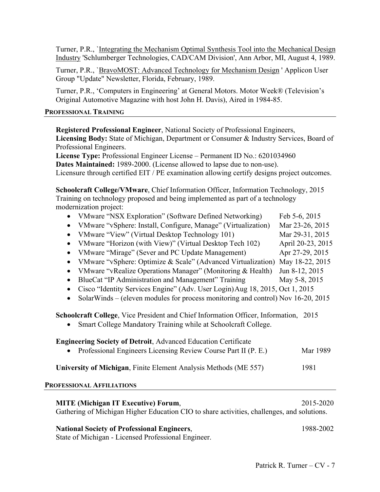Turner, P.R., `Integrating the Mechanism Optimal Synthesis Tool into the Mechanical Design Industry 'Schlumberger Technologies, CAD/CAM Division', Ann Arbor, MI, August 4, 1989.

Turner, P.R., `BravoMOST: Advanced Technology for Mechanism Design ' Applicon User Group "Update" Newsletter, Florida, February, 1989.

Turner, P.R., 'Computers in Engineering' at General Motors. Motor Week® (Television's Original Automotive Magazine with host John H. Davis), Aired in 1984-85.

## **PROFESSIONAL TRAINING**

**Registered Professional Engineer**, National Society of Professional Engineers, **Licensing Body:** State of Michigan, Department or Consumer & Industry Services, Board of Professional Engineers. **License Type:** Professional Engineer License – Permanent ID No.: 6201034960 **Dates Maintained:** 1989-2000. (License allowed to lapse due to non-use). Licensure through certified EIT / PE examination allowing certify designs project outcomes. **Schoolcraft College/VMware**, Chief Information Officer, Information Technology, 2015 Training on technology proposed and being implemented as part of a technology modernization project: • VMware "NSX Exploration" (Software Defined Networking) Feb 5-6, 2015 • VMware "vSphere: Install, Configure, Manage" (Virtualization) Mar 23-26, 2015 • VMware "View" (Virtual Desktop Technology 101) Mar 29-31, 2015 • VMware "Horizon (with View)" (Virtual Desktop Tech 102) April 20-23, 2015 • VMware "Mirage" (Sever and PC Update Management) Apr 27-29, 2015 VMware "vSphere: Optimize & Scale" (Advanced Virtualization) May 18-22, 2015 • VMware "vRealize Operations Manager" (Monitoring & Health) Jun 8-12, 2015 • BlueCat "IP Administration and Management" Training May 5-8, 2015 Cisco "Identity Services Engine" (Adv. User Login) Aug 18, 2015, Oct 1, 2015 • SolarWinds – (eleven modules for process monitoring and control) Nov 16-20, 2015 **Schoolcraft College**, Vice President and Chief Information Officer, Information, 2015 Smart College Mandatory Training while at Schoolcraft College.

#### **Engineering Society of Detroit**, Advanced Education Certificate

| • Professional Engineers Licensing Review Course Part II (P. E.) | Mar 1989 |
|------------------------------------------------------------------|----------|
| University of Michigan, Finite Element Analysis Methods (ME 557) | 1981     |
|                                                                  |          |

#### **PROFESSIONAL AFFILIATIONS**

| 2015-2020                                                                                  |
|--------------------------------------------------------------------------------------------|
| Gathering of Michigan Higher Education CIO to share activities, challenges, and solutions. |
|                                                                                            |
| 1988-2002                                                                                  |
|                                                                                            |

State of Michigan - Licensed Professional Engineer.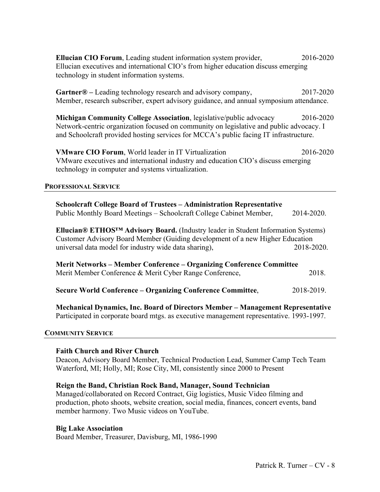**Ellucian CIO Forum**, Leading student information system provider, 2016-2020 Ellucian executives and international CIO's from higher education discuss emerging technology in student information systems.

Gartner<sup>®</sup> – Leading technology research and advisory company, 2017-2020 Member, research subscriber, expert advisory guidance, and annual symposium attendance.

**Michigan Community College Association**, legislative/public advocacy 2016-2020 Network-centric organization focused on community on legislative and public advocacy. I and Schoolcraft provided hosting services for MCCA's public facing IT infrastructure.

**VMware CIO Forum,** World leader in IT Virtualization 2016-2020 VMware executives and international industry and education CIO's discuss emerging technology in computer and systems virtualization.

## **PROFESSIONAL SERVICE**

**Schoolcraft College Board of Trustees – Administration Representative**  Public Monthly Board Meetings – Schoolcraft College Cabinet Member, 2014-2020.

**Ellucian® ETHOS™ Advisory Board.** (Industry leader in Student Information Systems) Customer Advisory Board Member (Guiding development of a new Higher Education universal data model for industry wide data sharing), 2018-2020.

**Merit Networks – Member Conference – Organizing Conference Committee**  Merit Member Conference & Merit Cyber Range Conference, 2018.

| <b>Secure World Conference – Organizing Conference Committee,</b> | 2018-2019. |
|-------------------------------------------------------------------|------------|
|-------------------------------------------------------------------|------------|

**Mechanical Dynamics, Inc. Board of Directors Member – Management Representative**  Participated in corporate board mtgs. as executive management representative. 1993-1997.

#### **COMMUNITY SERVICE**

#### **Faith Church and River Church**

Deacon, Advisory Board Member, Technical Production Lead, Summer Camp Tech Team Waterford, MI; Holly, MI; Rose City, MI, consistently since 2000 to Present

#### **Reign the Band, Christian Rock Band, Manager, Sound Technician**

Managed/collaborated on Record Contract, Gig logistics, Music Video filming and production, photo shoots, website creation, social media, finances, concert events, band member harmony. Two Music videos on YouTube.

#### **Big Lake Association**

Board Member, Treasurer, Davisburg, MI, 1986-1990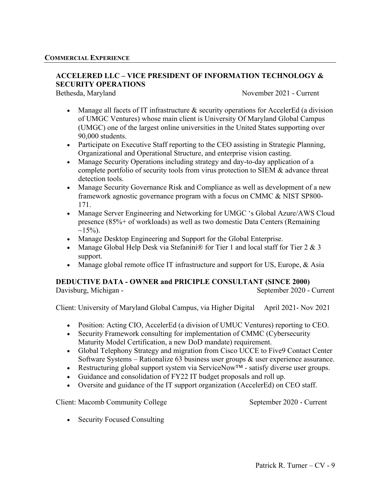# **ACCELERED LLC – VICE PRESIDENT OF INFORMATION TECHNOLOGY & SECURITY OPERATIONS**

Bethesda, Maryland November 2021 - Current

- Manage all facets of IT infrastructure  $\&$  security operations for AccelerEd (a division of UMGC Ventures) whose main client is University Of Maryland Global Campus (UMGC) one of the largest online universities in the United States supporting over 90,000 students.
- Participate on Executive Staff reporting to the CEO assisting in Strategic Planning, Organizational and Operational Structure, and enterprise vision casting.
- Manage Security Operations including strategy and day-to-day application of a complete portfolio of security tools from virus protection to SIEM & advance threat detection tools.
- Manage Security Governance Risk and Compliance as well as development of a new framework agnostic governance program with a focus on CMMC & NIST SP800- 171.
- Manage Server Engineering and Networking for UMGC 's Global Azure/AWS Cloud presence (85%+ of workloads) as well as two domestic Data Centers (Remaining  $\sim$ 15%).
- Manage Desktop Engineering and Support for the Global Enterprise.
- Manage Global Help Desk via Stefanini® for Tier 1 and local staff for Tier 2 & 3 support.
- Manage global remote office IT infrastructure and support for US, Europe,  $\&$  Asia

## **DEDUCTIVE DATA - OWNER and PRICIPLE CONSULTANT (SINCE 2000)** Davisburg, Michigan - September 2020 - Current

Client: University of Maryland Global Campus, via Higher Digital April 2021- Nov 2021

- Position: Acting CIO, AccelerEd (a division of UMUC Ventures) reporting to CEO.
- Security Framework consulting for implementation of CMMC (Cybersecurity Maturity Model Certification, a new DoD mandate) requirement.
- Global Telephony Strategy and migration from Cisco UCCE to Five9 Contact Center Software Systems – Rationalize 63 business user groups & user experience assurance.
- Restructuring global support system via ServiceNow™ satisfy diverse user groups.
- Guidance and consolidation of FY22 IT budget proposals and roll up.
- Oversite and guidance of the IT support organization (AccelerEd) on CEO staff.

Client: Macomb Community College September 2020 - Current

• Security Focused Consulting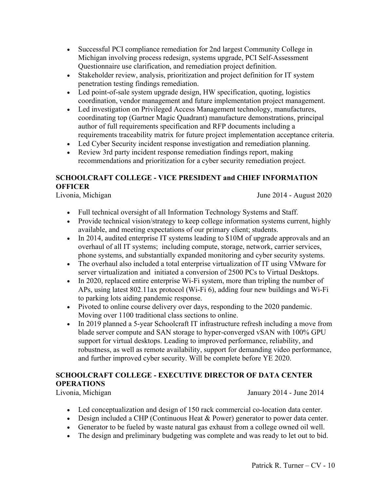- Successful PCI compliance remediation for 2nd largest Community College in Michigan involving process redesign, systems upgrade, PCI Self-Assessment Questionnaire use clarification, and remediation project definition.
- Stakeholder review, analysis, prioritization and project definition for IT system penetration testing findings remediation.
- Led point-of-sale system upgrade design, HW specification, quoting, logistics coordination, vendor management and future implementation project management.
- Led investigation on Privileged Access Management technology, manufactures, coordinating top (Gartner Magic Quadrant) manufacture demonstrations, principal author of full requirements specification and RFP documents including a requirements traceability matrix for future project implementation acceptance criteria.
- Led Cyber Security incident response investigation and remediation planning.
- Review 3rd party incident response remediation findings report, making recommendations and prioritization for a cyber security remediation project.

# **SCHOOLCRAFT COLLEGE - VICE PRESIDENT and CHIEF INFORMATION OFFICER**

Livonia, Michigan June 2014 - August 2020

- Full technical oversight of all Information Technology Systems and Staff.
- Provide technical vision/strategy to keep college information systems current, highly available, and meeting expectations of our primary client; students.
- In 2014, audited enterprise IT systems leading to \$10M of upgrade approvals and an overhaul of all IT systems; including compute, storage, network, carrier services, phone systems, and substantially expanded monitoring and cyber security systems.
- The overhaul also included a total enterprise virtualization of IT using VMware for server virtualization and initiated a conversion of 2500 PCs to Virtual Desktops.
- In 2020, replaced entire enterprise Wi-Fi system, more than tripling the number of APs, using latest 802.11ax protocol (Wi-Fi 6), adding four new buildings and Wi-Fi to parking lots aiding pandemic response.
- Pivoted to online course delivery over days, responding to the 2020 pandemic. Moving over 1100 traditional class sections to online.
- In 2019 planned a 5-year Schoolcraft IT infrastructure refresh including a move from blade server compute and SAN storage to hyper-converged vSAN with 100% GPU support for virtual desktops. Leading to improved performance, reliability, and robustness, as well as remote availability, support for demanding video performance, and further improved cyber security. Will be complete before YE 2020.

# **SCHOOLCRAFT COLLEGE - EXECUTIVE DIRECTOR OF DATA CENTER OPERATIONS**

Livonia, Michigan January 2014 - June 2014

- Led conceptualization and design of 150 rack commercial co-location data center.
- Design included a CHP (Continuous Heat & Power) generator to power data center.
- Generator to be fueled by waste natural gas exhaust from a college owned oil well.
- The design and preliminary budgeting was complete and was ready to let out to bid.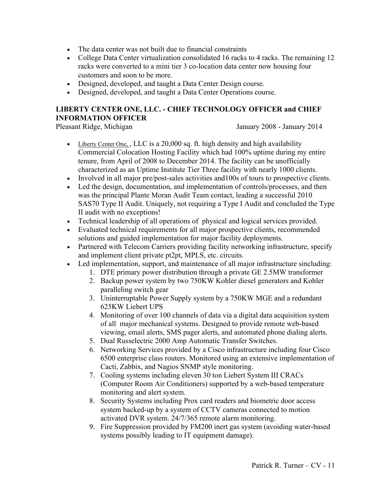- The data center was not built due to financial constraints
- College Data Center virtualization consolidated 16 racks to 4 racks. The remaining 12 racks were converted to a mini tier 3 co-location data center now housing four customers and soon to be more.
- Designed, developed, and taught a Data Center Design course.
- Designed, developed, and taught a Data Center Operations course.

# **LIBERTY CENTER ONE, LLC. - CHIEF TECHNOLOGY OFFICER and CHIEF INFORMATION OFFICER**

Pleasant Ridge, Michigan January 2008 - January 2014

- Eiberty Center One, , LLC is a  $20,000$  sq. ft. high density and high availability Commercial Colocation Hosting Facility which had 100% uptime during my entire tenure, from April of 2008 to December 2014. The facility can be unofficially characterized as an Uptime Institute Tier Three facility with nearly 1000 clients.
- Involved in all major pre/post-sales activities and100s of tours to prospective clients.
- Led the design, documentation, and implementation of controls/processes, and then was the principal Plante Moran Audit Team contact, leading a successful 2010 SAS70 Type II Audit. Uniquely, not requiring a Type I Audit and concluded the Type II audit with no exceptions!
- Technical leadership of all operations of physical and logical services provided.
- Evaluated technical requirements for all major prospective clients, recommended solutions and guided implementation for major facility deployments.
- Partnered with Telecom Carriers providing facility networking infrastructure, specify and implement client private pt2pt, MPLS, etc. circuits.
- Led implementation, support, and maintenance of all major infrastructure sincluding:
	- 1. DTE primary power distribution through a private GE 2.5MW transformer
	- 2. Backup power system by two 750KW Kohler diesel generators and Kohler paralleling switch gear
	- 3. Uninterruptable Power Supply system by a 750KW MGE and a redundant 625KW Liebert UPS
	- 4. Monitoring of over 100 channels of data via a digital data acquisition system of all major mechanical systems. Designed to provide remote web-based viewing, email alerts, SMS pager alerts, and automated phone dialing alerts.
	- 5. Dual Russelectric 2000 Amp Automatic Transfer Switches.
	- 6. Networking Services provided by a Cisco infrastructure including four Cisco 6500 enterprise class routers. Monitored using an extensive implementation of Cacti, Zabbix, and Nagios SNMP style monitoring.
	- 7. Cooling systems including eleven 30 ton Liebert System III CRACs (Computer Room Air Conditioners) supported by a web-based temperature monitoring and alert system.
	- 8. Security Systems including Prox card readers and biometric door access system backed-up by a system of CCTV cameras connected to motion activated DVR system. 24/7/365 remote alarm monitoring.
	- 9. Fire Suppression provided by FM200 inert gas system (avoiding water-based systems possibly leading to IT equipment damage).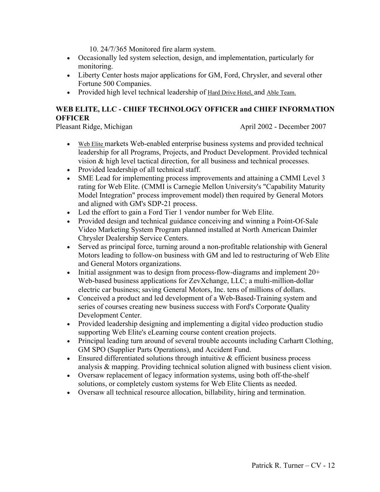10. 24/7/365 Monitored fire alarm system.

- Occasionally led system selection, design, and implementation, particularly for monitoring.
- Liberty Center hosts major applications for GM, Ford, Chrysler, and several other Fortune 500 Companies.
- Provided high level technical leadership of Hard Drive Hotel, and Able Team.

# **WEB ELITE, LLC - CHIEF TECHNOLOGY OFFICER and CHIEF INFORMATION OFFICER**

Pleasant Ridge, Michigan April 2002 - December 2007

- Web Elite markets Web-enabled enterprise business systems and provided technical leadership for all Programs, Projects, and Product Development. Provided technical vision & high level tactical direction, for all business and technical processes.
- Provided leadership of all technical staff.
- SME Lead for implementing process improvements and attaining a CMMI Level 3 rating for Web Elite. (CMMI is Carnegie Mellon University's "Capability Maturity Model Integration" process improvement model) then required by General Motors and aligned with GM's SDP-21 process.
- Led the effort to gain a Ford Tier 1 vendor number for Web Elite.
- Provided design and technical guidance conceiving and winning a Point-Of-Sale Video Marketing System Program planned installed at North American Daimler Chrysler Dealership Service Centers.
- Served as principal force, turning around a non-profitable relationship with General Motors leading to follow-on business with GM and led to restructuring of Web Elite and General Motors organizations.
- Initial assignment was to design from process-flow-diagrams and implement  $20+$ Web-based business applications for ZevXchange, LLC; a multi-million-dollar electric car business; saving General Motors, Inc. tens of millions of dollars.
- Conceived a product and led development of a Web-Based-Training system and series of courses creating new business success with Ford's Corporate Quality Development Center.
- Provided leadership designing and implementing a digital video production studio supporting Web Elite's eLearning course content creation projects.
- Principal leading turn around of several trouble accounts including Carhartt Clothing, GM SPO (Supplier Parts Operations), and Accident Fund.
- Ensured differentiated solutions through intuitive  $\&$  efficient business process analysis & mapping. Providing technical solution aligned with business client vision.
- Oversaw replacement of legacy information systems, using both off-the-shelf solutions, or completely custom systems for Web Elite Clients as needed.
- Oversaw all technical resource allocation, billability, hiring and termination.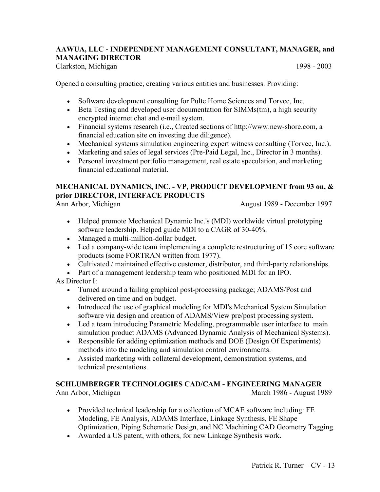# **AAWUA, LLC - INDEPENDENT MANAGEMENT CONSULTANT, MANAGER, and MANAGING DIRECTOR**

Clarkston, Michigan 1998 - 2003

Opened a consulting practice, creating various entities and businesses. Providing:

- Software development consulting for Pulte Home Sciences and Torvec, Inc.
- Beta Testing and developed user documentation for SIMMs(tm), a high security encrypted internet chat and e-mail system.
- Financial systems research (i.e., Created sections of http://www.new-shore.com, a financial education site on investing due diligence).
- Mechanical systems simulation engineering expert witness consulting (Torvec, Inc.).
- Marketing and sales of legal services (Pre-Paid Legal, Inc., Director in 3 months).
- Personal investment portfolio management, real estate speculation, and marketing financial educational material.

# **MECHANICAL DYNAMICS, INC. - VP, PRODUCT DEVELOPMENT from 93 on, & prior DIRECTOR, INTERFACE PRODUCTS**

Ann Arbor, Michigan August 1989 - December 1997

- Helped promote Mechanical Dynamic Inc.'s (MDI) worldwide virtual prototyping software leadership. Helped guide MDI to a CAGR of 30-40%.
- Managed a multi-million-dollar budget.
- Led a company-wide team implementing a complete restructuring of 15 core software products (some FORTRAN written from 1977).
- Cultivated / maintained effective customer, distributor, and third-party relationships.
- Part of a management leadership team who positioned MDI for an IPO.

As Director I:

- Turned around a failing graphical post-processing package; ADAMS/Post and delivered on time and on budget.
- Introduced the use of graphical modeling for MDI's Mechanical System Simulation software via design and creation of ADAMS/View pre/post processing system.
- Led a team introducing Parametric Modeling, programmable user interface to main simulation product ADAMS (Advanced Dynamic Analysis of Mechanical Systems).
- Responsible for adding optimization methods and DOE (Design Of Experiments) methods into the modeling and simulation control environments.
- Assisted marketing with collateral development, demonstration systems, and technical presentations.

# **SCHLUMBERGER TECHNOLOGIES CAD/CAM - ENGINEERING MANAGER**

Ann Arbor, Michigan March 1986 - August 1989

- Provided technical leadership for a collection of MCAE software including: FE Modeling, FE Analysis, ADAMS Interface, Linkage Synthesis, FE Shape Optimization, Piping Schematic Design, and NC Machining CAD Geometry Tagging.
- Awarded a US patent, with others, for new Linkage Synthesis work.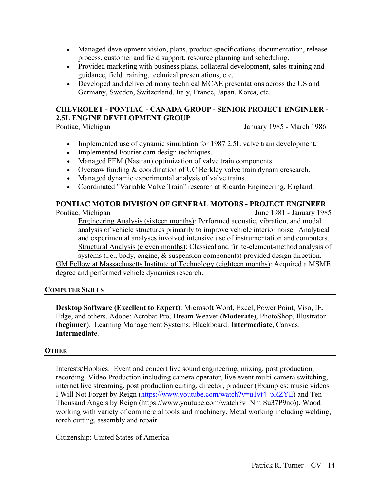- Managed development vision, plans, product specifications, documentation, release process, customer and field support, resource planning and scheduling.
- Provided marketing with business plans, collateral development, sales training and guidance, field training, technical presentations, etc.
- Developed and delivered many technical MCAE presentations across the US and Germany, Sweden, Switzerland, Italy, France, Japan, Korea, etc.

# **CHEVROLET - PONTIAC - CANADA GROUP - SENIOR PROJECT ENGINEER - 2.5L ENGINE DEVELOPMENT GROUP**

Pontiac, Michigan **Properties** 2012 1985 - March 1986

- Implemented use of dynamic simulation for 1987 2.5L valve train development.
- Implemented Fourier cam design techniques.
- Managed FEM (Nastran) optimization of valve train components.
- Oversaw funding & coordination of UC Berkley valve train dynamicresearch.
- Managed dynamic experimental analysis of valve trains.
- Coordinated "Variable Valve Train" research at Ricardo Engineering, England.

# **PONTIAC MOTOR DIVISION OF GENERAL MOTORS - PROJECT ENGINEER**

Pontiac, Michigan June 1981 - January 1985 Engineering Analysis (sixteen months): Performed acoustic, vibration, and modal analysis of vehicle structures primarily to improve vehicle interior noise. Analytical and experimental analyses involved intensive use of instrumentation and computers. Structural Analysis (eleven months): Classical and finite-element-method analysis of systems (i.e., body, engine, & suspension components) provided design direction.

GM Fellow at Massachusetts Institute of Technology (eighteen months): Acquired a MSME degree and performed vehicle dynamics research.

## **COMPUTER SKILLS**

**Desktop Software (Excellent to Expert)**: Microsoft Word, Excel, Power Point, Viso, IE, Edge, and others. Adobe: Acrobat Pro, Dream Weaver (**Moderate**), PhotoShop, Illustrator (**beginner**). Learning Management Systems: Blackboard: **Intermediate**, Canvas: **Intermediate**.

## **OTHER**

Interests/Hobbies: Event and concert live sound engineering, mixing, post production, recording. Video Production including camera operator, live event multi-camera switching, internet live streaming, post production editing, director, producer (Examples: music videos – I Will Not Forget by Reign (https://www.youtube.com/watch?v=u1vt4\_pRZYE) and Ten Thousand Angels by Reign (https://www.youtube.com/watch?v=NmlSu37P9no)). Wood working with variety of commercial tools and machinery. Metal working including welding, torch cutting, assembly and repair.

Citizenship: United States of America